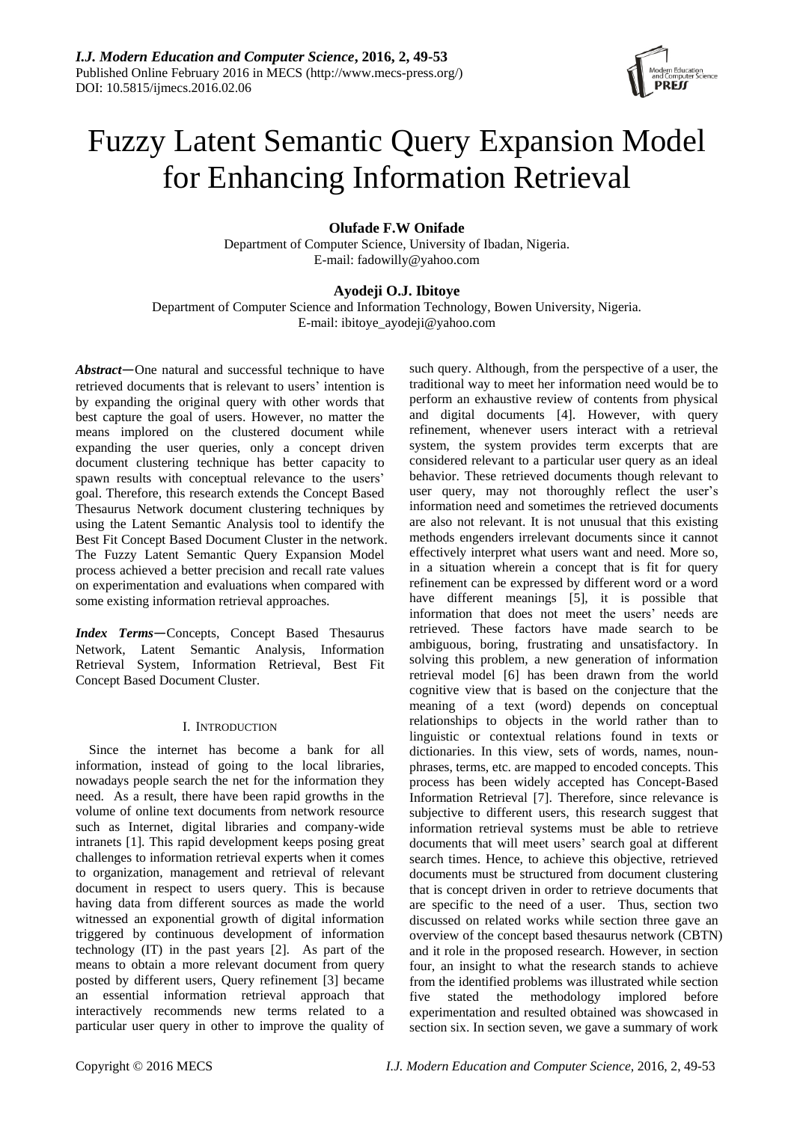

# Fuzzy Latent Semantic Query Expansion Model for Enhancing Information Retrieval

# **Olufade F.W Onifade**

Department of Computer Science, University of Ibadan, Nigeria. E-mail: fadowilly@yahoo.com

# **Ayodeji O.J. Ibitoye**

Department of Computer Science and Information Technology, Bowen University, Nigeria. E-mail: ibitoye\_ayodeji@yahoo.com

*Abstract*—One natural and successful technique to have retrieved documents that is relevant to users' intention is by expanding the original query with other words that best capture the goal of users. However, no matter the means implored on the clustered document while expanding the user queries, only a concept driven document clustering technique has better capacity to spawn results with conceptual relevance to the users' goal. Therefore, this research extends the Concept Based Thesaurus Network document clustering techniques by using the Latent Semantic Analysis tool to identify the Best Fit Concept Based Document Cluster in the network. The Fuzzy Latent Semantic Query Expansion Model process achieved a better precision and recall rate values on experimentation and evaluations when compared with some existing information retrieval approaches.

*Index Terms*—Concepts, Concept Based Thesaurus Network, Latent Semantic Analysis, Information Retrieval System, Information Retrieval, Best Fit Concept Based Document Cluster.

# I. INTRODUCTION

Since the internet has become a bank for all information, instead of going to the local libraries, nowadays people search the net for the information they need. As a result, there have been rapid growths in the volume of online text documents from network resource such as Internet, digital libraries and company-wide intranets [1]. This rapid development keeps posing great challenges to information retrieval experts when it comes to organization, management and retrieval of relevant document in respect to users query. This is because having data from different sources as made the world witnessed an exponential growth of digital information triggered by continuous development of information technology (IT) in the past years [2]. As part of the means to obtain a more relevant document from query posted by different users, Query refinement [3] became an essential information retrieval approach that interactively recommends new terms related to a particular user query in other to improve the quality of

such query. Although, from the perspective of a user, the traditional way to meet her information need would be to perform an exhaustive review of contents from physical and digital documents [4]. However, with query refinement, whenever users interact with a retrieval system, the system provides term excerpts that are considered relevant to a particular user query as an ideal behavior. These retrieved documents though relevant to user query, may not thoroughly reflect the user's information need and sometimes the retrieved documents are also not relevant. It is not unusual that this existing methods engenders irrelevant documents since it cannot effectively interpret what users want and need. More so, in a situation wherein a concept that is fit for query refinement can be expressed by different word or a word have different meanings [5], it is possible that information that does not meet the users' needs are retrieved. These factors have made search to be ambiguous, boring, frustrating and unsatisfactory. In solving this problem, a new generation of information retrieval model [6] has been drawn from the world cognitive view that is based on the conjecture that the meaning of a text (word) depends on conceptual relationships to objects in the world rather than to linguistic or contextual relations found in texts or dictionaries. In this view, sets of words, names, nounphrases, terms, etc. are mapped to encoded concepts. This process has been widely accepted has Concept-Based Information Retrieval [7]. Therefore, since relevance is subjective to different users, this research suggest that information retrieval systems must be able to retrieve documents that will meet users' search goal at different search times. Hence, to achieve this objective, retrieved documents must be structured from document clustering that is concept driven in order to retrieve documents that are specific to the need of a user. Thus, section two discussed on related works while section three gave an overview of the concept based thesaurus network (CBTN) and it role in the proposed research. However, in section four, an insight to what the research stands to achieve from the identified problems was illustrated while section five stated the methodology implored before experimentation and resulted obtained was showcased in section six. In section seven, we gave a summary of work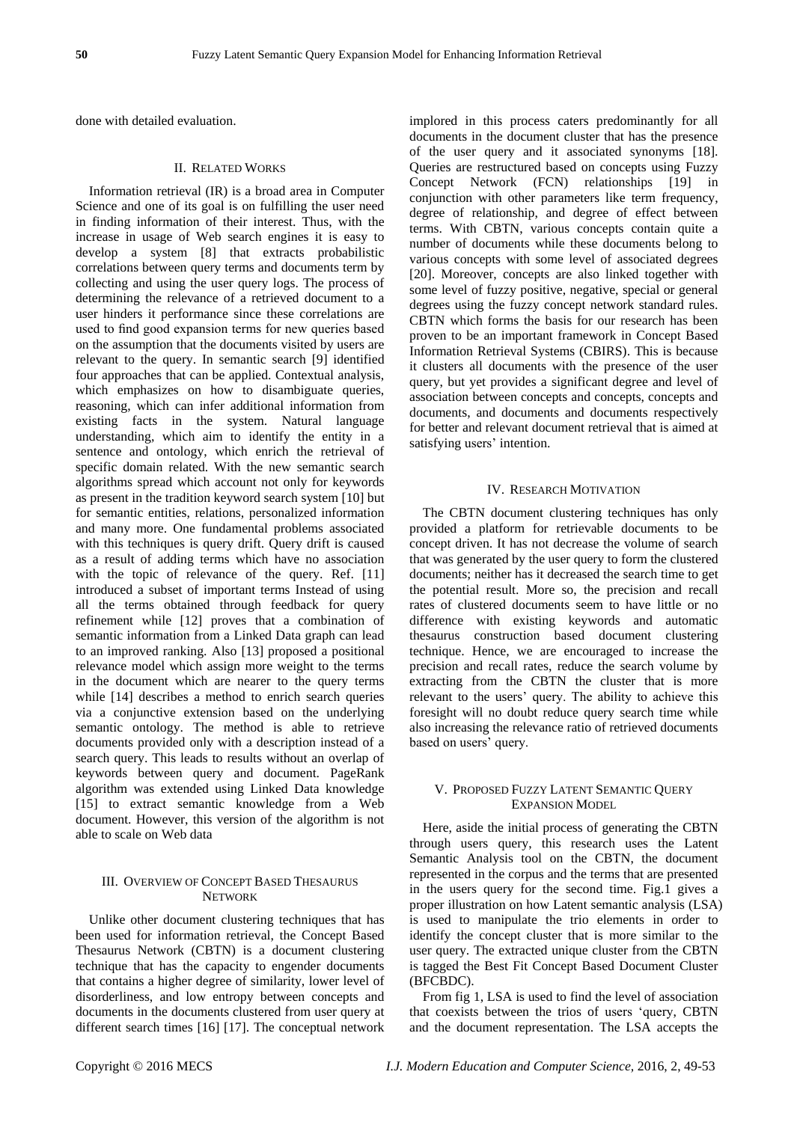done with detailed evaluation.

## II. RELATED WORKS

Information retrieval (IR) is a broad area in Computer Science and one of its goal is on fulfilling the user need in finding information of their interest. Thus, with the increase in usage of Web search engines it is easy to develop a system [8] that extracts probabilistic correlations between query terms and documents term by collecting and using the user query logs. The process of determining the relevance of a retrieved document to a user hinders it performance since these correlations are used to find good expansion terms for new queries based on the assumption that the documents visited by users are relevant to the query. In semantic search [9] identified four approaches that can be applied. Contextual analysis, which emphasizes on how to disambiguate queries, reasoning, which can infer additional information from existing facts in the system. Natural language understanding, which aim to identify the entity in a sentence and ontology, which enrich the retrieval of specific domain related. With the new semantic search algorithms spread which account not only for keywords as present in the tradition keyword search system [10] but for semantic entities, relations, personalized information and many more. One fundamental problems associated with this techniques is query drift. Query drift is caused as a result of adding terms which have no association with the topic of relevance of the query. Ref. [11] introduced a subset of important terms Instead of using all the terms obtained through feedback for query refinement while [12] proves that a combination of semantic information from a Linked Data graph can lead to an improved ranking. Also [13] proposed a positional relevance model which assign more weight to the terms in the document which are nearer to the query terms while [14] describes a method to enrich search queries via a conjunctive extension based on the underlying semantic ontology. The method is able to retrieve documents provided only with a description instead of a search query. This leads to results without an overlap of keywords between query and document. PageRank algorithm was extended using Linked Data knowledge [15] to extract semantic knowledge from a Web document. However, this version of the algorithm is not able to scale on Web data

## III. OVERVIEW OF CONCEPT BASED THESAURUS **NETWORK**

Unlike other document clustering techniques that has been used for information retrieval, the Concept Based Thesaurus Network (CBTN) is a document clustering technique that has the capacity to engender documents that contains a higher degree of similarity, lower level of disorderliness, and low entropy between concepts and documents in the documents clustered from user query at different search times [16] [17]. The conceptual network

implored in this process caters predominantly for all documents in the document cluster that has the presence of the user query and it associated synonyms [18]. Queries are restructured based on concepts using Fuzzy Concept Network (FCN) relationships [19] in conjunction with other parameters like term frequency, degree of relationship, and degree of effect between terms. With CBTN, various concepts contain quite a number of documents while these documents belong to various concepts with some level of associated degrees [20]. Moreover, concepts are also linked together with some level of fuzzy positive, negative, special or general degrees using the fuzzy concept network standard rules. CBTN which forms the basis for our research has been proven to be an important framework in Concept Based Information Retrieval Systems (CBIRS). This is because it clusters all documents with the presence of the user query, but yet provides a significant degree and level of association between concepts and concepts, concepts and documents, and documents and documents respectively for better and relevant document retrieval that is aimed at satisfying users' intention.

#### IV. RESEARCH MOTIVATION

The CBTN document clustering techniques has only provided a platform for retrievable documents to be concept driven. It has not decrease the volume of search that was generated by the user query to form the clustered documents; neither has it decreased the search time to get the potential result. More so, the precision and recall rates of clustered documents seem to have little or no difference with existing keywords and automatic thesaurus construction based document clustering technique. Hence, we are encouraged to increase the precision and recall rates, reduce the search volume by extracting from the CBTN the cluster that is more relevant to the users' query. The ability to achieve this foresight will no doubt reduce query search time while also increasing the relevance ratio of retrieved documents based on users' query.

## V. PROPOSED FUZZY LATENT SEMANTIC QUERY EXPANSION MODEL

Here, aside the initial process of generating the CBTN through users query, this research uses the Latent Semantic Analysis tool on the CBTN, the document represented in the corpus and the terms that are presented in the users query for the second time. Fig.1 gives a proper illustration on how Latent semantic analysis (LSA) is used to manipulate the trio elements in order to identify the concept cluster that is more similar to the user query. The extracted unique cluster from the CBTN is tagged the Best Fit Concept Based Document Cluster (BFCBDC).

From fig 1, LSA is used to find the level of association that coexists between the trios of users 'query, CBTN and the document representation. The LSA accepts the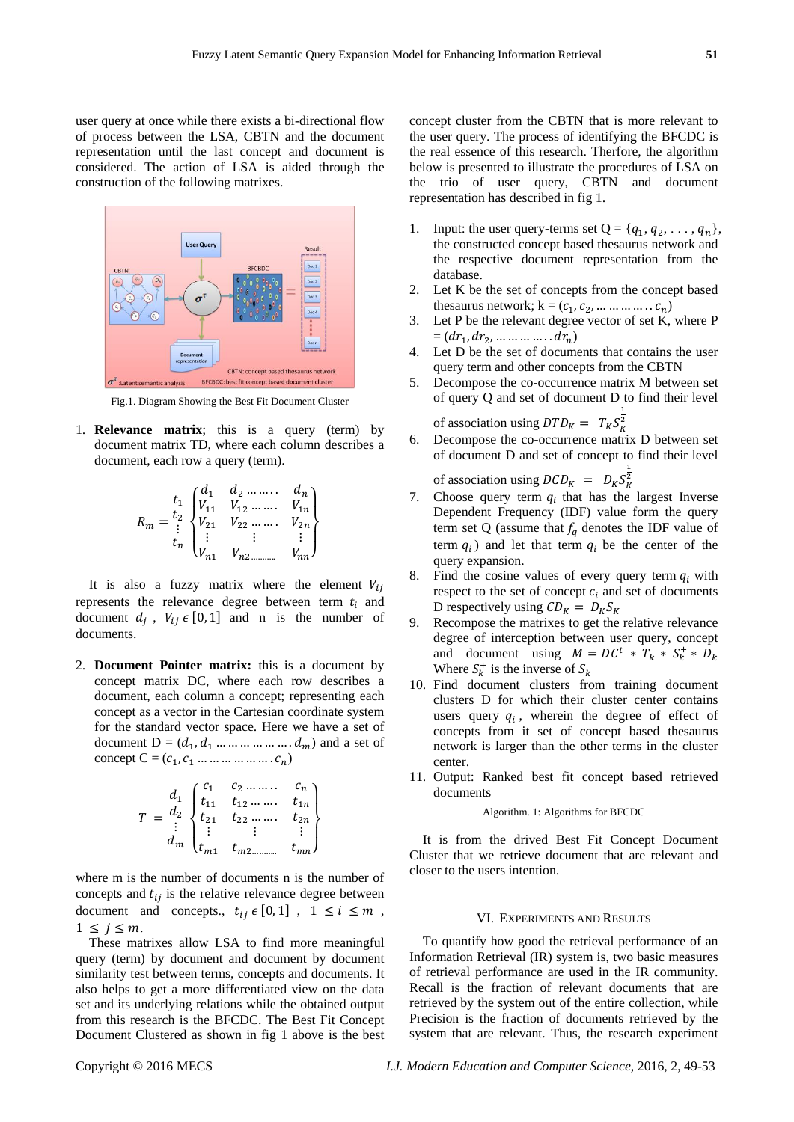user query at once while there exists a bi-directional flow of process between the LSA, CBTN and the document representation until the last concept and document is considered. The action of LSA is aided through the construction of the following matrixes.



Fig.1. Diagram Showing the Best Fit Document Cluster

1. **Relevance matrix**; this is a query (term) by document matrix TD, where each column describes a document, each row a query (term).

$$
R_m = \begin{bmatrix} t_1 & d_1 & d_2 & \dots & d_n \\ t_2 & V_{11} & V_{12} & \dots & V_{1n} \\ V_{21} & V_{22} & \dots & V_{2n} \\ \vdots & \vdots & \vdots & \vdots \\ V_{n1} & V_{n2} & \dots & V_{nn} \end{bmatrix}
$$

It is also a fuzzy matrix where the element  $V_{ii}$ represents the relevance degree between term  $t_i$  and document  $d_j$ ,  $V_{ij} \in [0, 1]$  and n is the number of documents.

2. **Document Pointer matrix:** this is a document by concept matrix DC, where each row describes a document, each column a concept; representing each concept as a vector in the Cartesian coordinate system for the standard vector space. Here we have a set of document  $D = (d_1, d_1, \dots, \dots, d_m)$  and a set of concept  $C = (c_1, c_1, \ldots, c_m, \ldots, c_n)$ 

$$
T = \begin{pmatrix} d_1 & \begin{pmatrix} c_1 & c_2 & \dots & \dots & c_n \\ t_{11} & t_{12} & \dots & \dots & t_{1n} \\ t_{21} & t_{22} & \dots & \dots & t_{2n} \\ \vdots & \vdots & \vdots & \vdots & \vdots \\ t_{m1} & t_{m2} & \dots & \dots & t_{mn} \end{pmatrix}
$$

where m is the number of documents n is the number of concepts and  $t_{ij}$  is the relative relevance degree between document and concepts.,  $t_{ij} \in [0, 1]$ ,  $1 \le i \le m$ ,  $1 \leq i \leq m$ .

These matrixes allow LSA to find more meaningful query (term) by document and document by document similarity test between terms, concepts and documents. It also helps to get a more differentiated view on the data set and its underlying relations while the obtained output from this research is the BFCDC. The Best Fit Concept Document Clustered as shown in fig 1 above is the best

concept cluster from the CBTN that is more relevant to the user query. The process of identifying the BFCDC is the real essence of this research. Therfore, the algorithm below is presented to illustrate the procedures of LSA on the trio of user query, CBTN and document representation has described in fig 1.

- 1. Input: the user query-terms set  $Q = \{q_1, q_2, \ldots, q_n\},\$ the constructed concept based thesaurus network and the respective document representation from the database.
- 2. Let K be the set of concepts from the concept based thesaurus network;  $k = (c_1, c_2, \dots \dots \dots \dots c_n)$
- 3. Let P be the relevant degree vector of set K, where P  $=(dr_1, dr_2, \dots \dots \dots \dots dr_n)$
- 4. Let D be the set of documents that contains the user query term and other concepts from the CBTN
- 5. Decompose the co-occurrence matrix M between set of query Q and set of document D to find their level of association using  $DTD_K = T_K S_K^2$ 1
- 6. Decompose the co-occurrence matrix D between set of document D and set of concept to find their level 1

of association using  $DCD_K = D_K S_K^2$ 

- 7. Choose query term  $q_i$  that has the largest Inverse Dependent Frequency (IDF) value form the query term set Q (assume that  $f_q$  denotes the IDF value of term  $q_i$ ) and let that term  $q_i$  be the center of the query expansion.
- 8. Find the cosine values of every query term  $q_i$  with respect to the set of concept  $c_i$  and set of documents D respectively using  $CD_K = D_K S_K$
- 9. Recompose the matrixes to get the relative relevance degree of interception between user query, concept and document using  $M = DC^t * T_k * S_k^+ * D_k$ Where  $S_k^+$  is the inverse of  $S_k$
- 10. Find document clusters from training document clusters D for which their cluster center contains users query  $q_i$ , wherein the degree of effect of concepts from it set of concept based thesaurus network is larger than the other terms in the cluster center.
- 11. Output: Ranked best fit concept based retrieved documents

#### Algorithm. 1: Algorithms for BFCDC

It is from the drived Best Fit Concept Document Cluster that we retrieve document that are relevant and closer to the users intention.

#### VI. EXPERIMENTS AND RESULTS

To quantify how good the retrieval performance of an Information Retrieval (IR) system is, two basic measures of retrieval performance are used in the IR community. Recall is the fraction of relevant documents that are retrieved by the system out of the entire collection, while Precision is the fraction of documents retrieved by the system that are relevant. Thus, the research experiment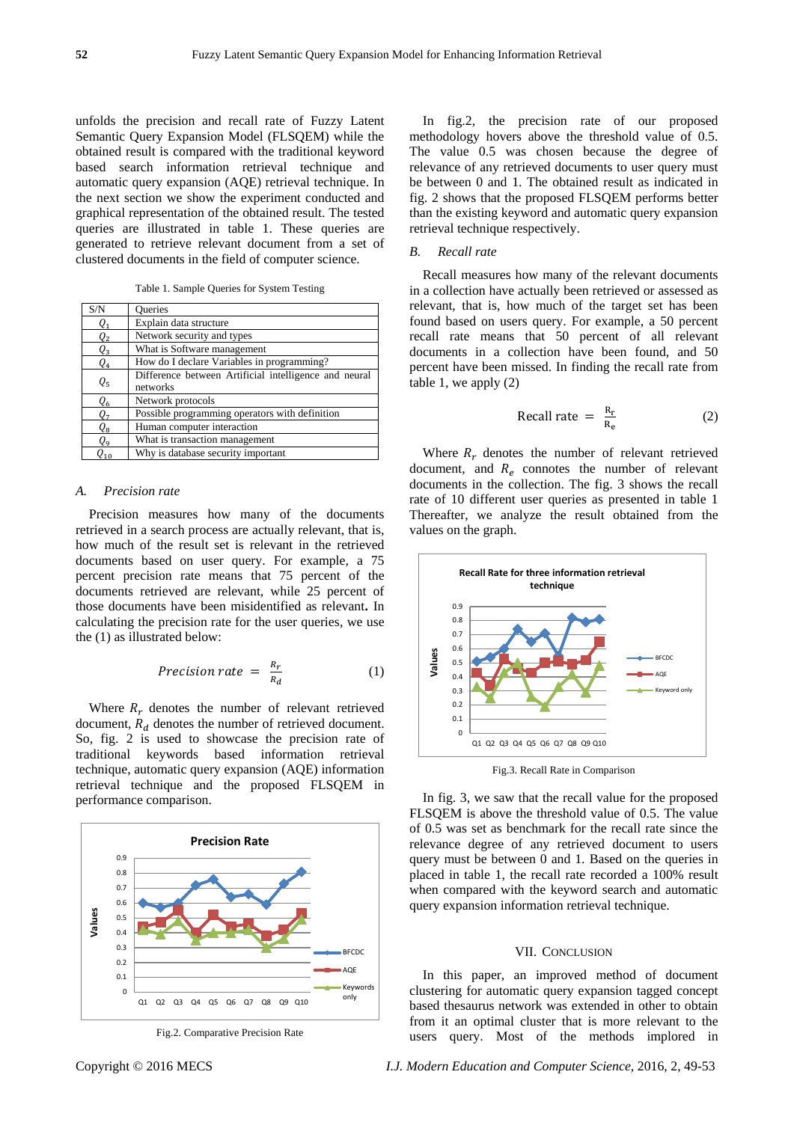unfolds the precision and recall rate of Fuzzy Latent Semantic Query Expansion Model (FLSQEM) while the obtained result is compared with the traditional keyword based search information retrieval technique and automatic query expansion (AQE) retrieval technique. In the next section we show the experiment conducted and graphical representation of the obtained result. The tested queries are illustrated in table 1. These queries are generated to retrieve relevant document from a set of clustered documents in the field of computer science.

Table 1. Sample Queries for System Testing

| S/N             | <b>Oueries</b>                                        |
|-----------------|-------------------------------------------------------|
| Q <sub>1</sub>  | Explain data structure                                |
| Q2              | Network security and types                            |
| $Q_3$           | What is Software management                           |
| Q4              | How do I declare Variables in programming?            |
| $Q_5$           | Difference between Artificial intelligence and neural |
|                 | networks                                              |
| $Q_{6}$         | Network protocols                                     |
| Q7              | Possible programming operators with definition        |
| Qв              | Human computer interaction                            |
| Q <sub>9</sub>  | What is transaction management                        |
| Q <sub>10</sub> | Why is database security important                    |

## *A. Precision rate*

Precision measures how many of the documents retrieved in a search process are actually relevant, that is, how much of the result set is relevant in the retrieved documents based on user query. For example, a 75 percent precision rate means that 75 percent of the documents retrieved are relevant, while 25 percent of those documents have been misidentified as relevant**.** In calculating the precision rate for the user queries, we use the (1) as illustrated below:

$$
Precision\ rate = \frac{R_r}{R_d} \tag{1}
$$

Where  $R_r$  denotes the number of relevant retrieved document,  $R_d$  denotes the number of retrieved document. So, fig. 2 is used to showcase the precision rate of traditional keywords based information retrieval technique, automatic query expansion (AQE) information retrieval technique and the proposed FLSQEM in performance comparison.



Fig.2. Comparative Precision Rate

In fig.2, the precision rate of our proposed methodology hovers above the threshold value of 0.5. The value 0.5 was chosen because the degree of relevance of any retrieved documents to user query must be between 0 and 1. The obtained result as indicated in fig. 2 shows that the proposed FLSQEM performs better than the existing keyword and automatic query expansion retrieval technique respectively.

#### *B. Recall rate*

Recall measures how many of the relevant documents in a collection have actually been retrieved or assessed as relevant, that is, how much of the target set has been found based on users query. For example, a 50 percent recall rate means that 50 percent of all relevant documents in a collection have been found, and 50 percent have been missed. In finding the recall rate from table 1, we apply (2)

$$
Recall rate = \frac{R_r}{R_e}
$$
 (2)

Where  $R_r$  denotes the number of relevant retrieved document, and  $R_e$  connotes the number of relevant documents in the collection. The fig. 3 shows the recall rate of 10 different user queries as presented in table 1 Thereafter, we analyze the result obtained from the values on the graph.



Fig.3. Recall Rate in Comparison

In fig. 3, we saw that the recall value for the proposed FLSQEM is above the threshold value of 0.5. The value of 0.5 was set as benchmark for the recall rate since the relevance degree of any retrieved document to users query must be between 0 and 1. Based on the queries in placed in table 1, the recall rate recorded a 100% result when compared with the keyword search and automatic query expansion information retrieval technique.

#### VII. CONCLUSION

In this paper, an improved method of document clustering for automatic query expansion tagged concept based thesaurus network was extended in other to obtain from it an optimal cluster that is more relevant to the users query. Most of the methods implored in

Copyright © 2016 MECS *I.J. Modern Education and Computer Science,* 2016, 2, 49-53